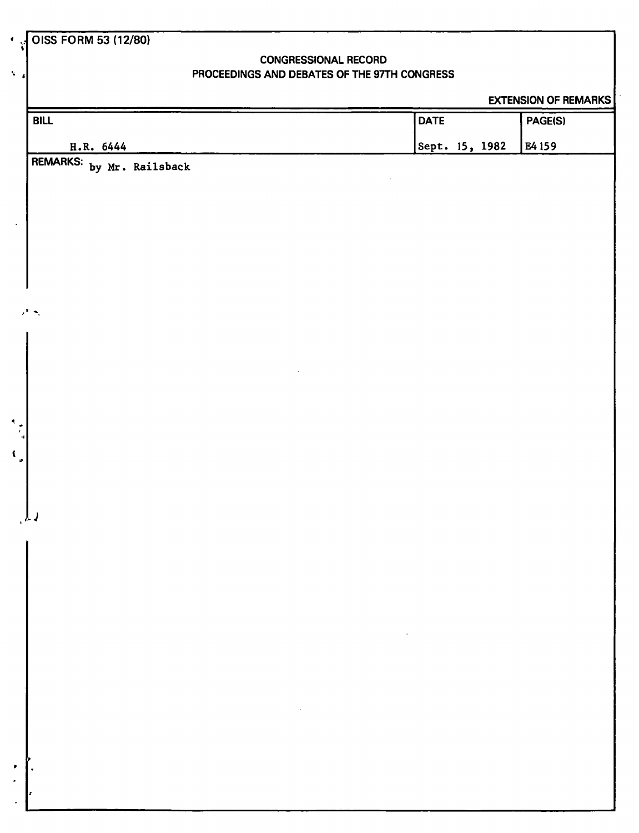## **CONGRESSIONAL RECORD PROCEEDINGS AND DEBATES OF THE 97TH CONGRESS**

**EXTENSION OF REMARKS** 

| BILL                                                                                                                        | <b>DATE</b>                   | PAGE(S) |
|-----------------------------------------------------------------------------------------------------------------------------|-------------------------------|---------|
| H.R. 6444                                                                                                                   | Sept. 15, 1982                | E4 159  |
| REMARKS: by Mr. Railsback                                                                                                   |                               |         |
|                                                                                                                             |                               |         |
|                                                                                                                             |                               |         |
| $\cdot$                                                                                                                     |                               |         |
|                                                                                                                             |                               |         |
|                                                                                                                             |                               |         |
|                                                                                                                             |                               |         |
| $\lambda^{\rm H}$ $\sigma_{\rm c}$                                                                                          |                               |         |
|                                                                                                                             |                               |         |
|                                                                                                                             |                               |         |
|                                                                                                                             |                               |         |
|                                                                                                                             |                               |         |
| $\begin{array}{c}\n\bullet \\ \bullet \\ \bullet\n\end{array}$                                                              |                               |         |
| $\mathbf{C}_{\mathbf{z}}$                                                                                                   |                               |         |
|                                                                                                                             |                               |         |
|                                                                                                                             |                               |         |
| $\mathcal{L}$                                                                                                               |                               |         |
|                                                                                                                             |                               |         |
|                                                                                                                             |                               |         |
|                                                                                                                             |                               |         |
|                                                                                                                             |                               |         |
|                                                                                                                             | and the state of the state of |         |
|                                                                                                                             |                               |         |
|                                                                                                                             |                               |         |
|                                                                                                                             |                               |         |
| $\mathcal{L}(\mathcal{L}(\mathcal{L}))$ and $\mathcal{L}(\mathcal{L}(\mathcal{L}))$ . The set of $\mathcal{L}(\mathcal{L})$ |                               |         |
|                                                                                                                             |                               |         |
| $\bullet$                                                                                                                   |                               |         |
| $\bullet$                                                                                                                   |                               |         |
|                                                                                                                             |                               |         |